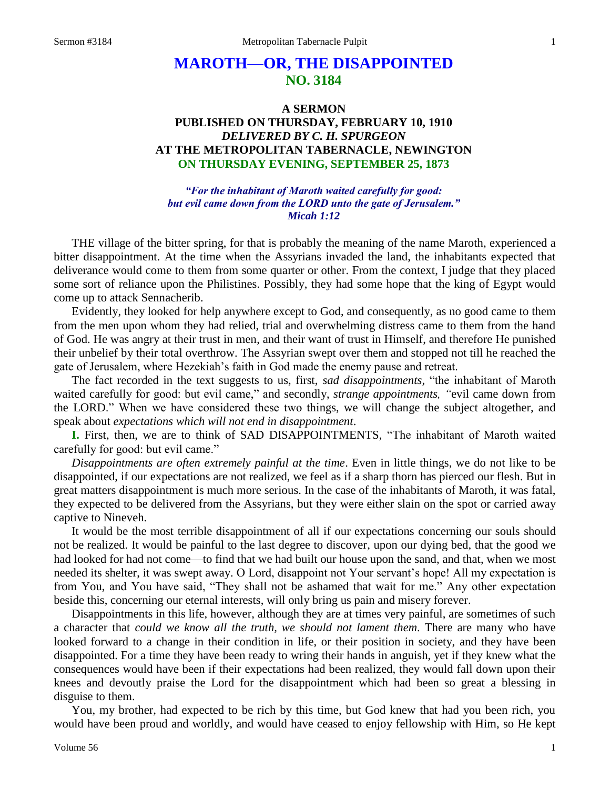# **MAROTH—OR, THE DISAPPOINTED NO. 3184**

# **A SERMON PUBLISHED ON THURSDAY, FEBRUARY 10, 1910** *DELIVERED BY C. H. SPURGEON* **AT THE METROPOLITAN TABERNACLE, NEWINGTON ON THURSDAY EVENING, SEPTEMBER 25, 1873**

*"For the inhabitant of Maroth waited carefully for good: but evil came down from the LORD unto the gate of Jerusalem." Micah 1:12*

THE village of the bitter spring, for that is probably the meaning of the name Maroth, experienced a bitter disappointment. At the time when the Assyrians invaded the land, the inhabitants expected that deliverance would come to them from some quarter or other. From the context, I judge that they placed some sort of reliance upon the Philistines. Possibly, they had some hope that the king of Egypt would come up to attack Sennacherib.

Evidently, they looked for help anywhere except to God, and consequently, as no good came to them from the men upon whom they had relied, trial and overwhelming distress came to them from the hand of God. He was angry at their trust in men, and their want of trust in Himself, and therefore He punished their unbelief by their total overthrow. The Assyrian swept over them and stopped not till he reached the gate of Jerusalem, where Hezekiah's faith in God made the enemy pause and retreat.

The fact recorded in the text suggests to us, first, *sad disappointments,* "the inhabitant of Maroth waited carefully for good: but evil came," and secondly, *strange appointments, "*evil came down from the LORD." When we have considered these two things, we will change the subject altogether, and speak about *expectations which will not end in disappointment*.

**I.** First, then, we are to think of SAD DISAPPOINTMENTS, "The inhabitant of Maroth waited carefully for good: but evil came."

*Disappointments are often extremely painful at the time*. Even in little things, we do not like to be disappointed, if our expectations are not realized, we feel as if a sharp thorn has pierced our flesh. But in great matters disappointment is much more serious. In the case of the inhabitants of Maroth, it was fatal, they expected to be delivered from the Assyrians, but they were either slain on the spot or carried away captive to Nineveh.

It would be the most terrible disappointment of all if our expectations concerning our souls should not be realized. It would be painful to the last degree to discover, upon our dying bed, that the good we had looked for had not come—to find that we had built our house upon the sand, and that, when we most needed its shelter, it was swept away. O Lord, disappoint not Your servant's hope! All my expectation is from You, and You have said, "They shall not be ashamed that wait for me." Any other expectation beside this, concerning our eternal interests, will only bring us pain and misery forever.

Disappointments in this life, however, although they are at times very painful, are sometimes of such a character that *could we know all the truth, we should not lament them*. There are many who have looked forward to a change in their condition in life, or their position in society, and they have been disappointed. For a time they have been ready to wring their hands in anguish, yet if they knew what the consequences would have been if their expectations had been realized, they would fall down upon their knees and devoutly praise the Lord for the disappointment which had been so great a blessing in disguise to them.

You, my brother, had expected to be rich by this time, but God knew that had you been rich, you would have been proud and worldly, and would have ceased to enjoy fellowship with Him, so He kept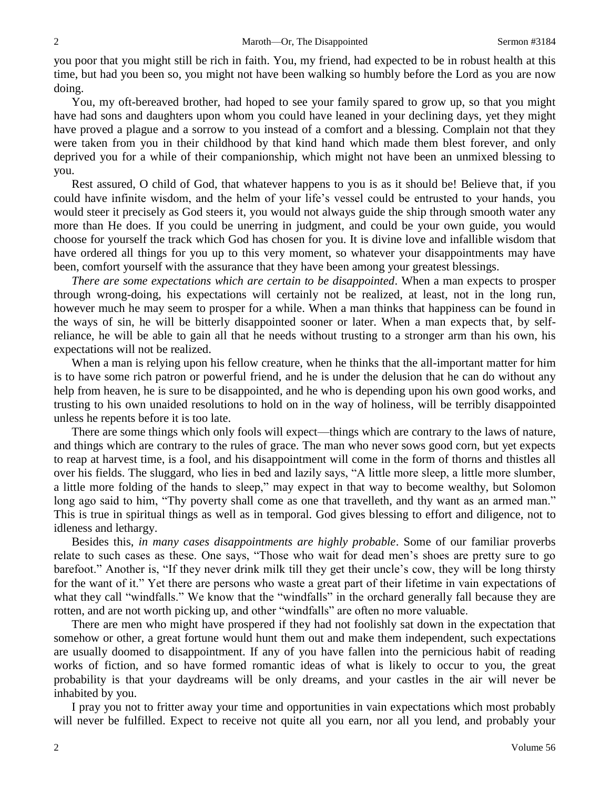you poor that you might still be rich in faith. You, my friend, had expected to be in robust health at this time, but had you been so, you might not have been walking so humbly before the Lord as you are now doing.

You, my oft-bereaved brother, had hoped to see your family spared to grow up, so that you might have had sons and daughters upon whom you could have leaned in your declining days, yet they might have proved a plague and a sorrow to you instead of a comfort and a blessing. Complain not that they were taken from you in their childhood by that kind hand which made them blest forever, and only deprived you for a while of their companionship, which might not have been an unmixed blessing to you.

Rest assured, O child of God, that whatever happens to you is as it should be! Believe that, if you could have infinite wisdom, and the helm of your life's vessel could be entrusted to your hands, you would steer it precisely as God steers it, you would not always guide the ship through smooth water any more than He does. If you could be unerring in judgment, and could be your own guide, you would choose for yourself the track which God has chosen for you. It is divine love and infallible wisdom that have ordered all things for you up to this very moment, so whatever your disappointments may have been, comfort yourself with the assurance that they have been among your greatest blessings.

*There are some expectations which are certain to be disappointed*. When a man expects to prosper through wrong-doing, his expectations will certainly not be realized, at least, not in the long run, however much he may seem to prosper for a while. When a man thinks that happiness can be found in the ways of sin, he will be bitterly disappointed sooner or later. When a man expects that, by selfreliance, he will be able to gain all that he needs without trusting to a stronger arm than his own, his expectations will not be realized.

When a man is relying upon his fellow creature, when he thinks that the all-important matter for him is to have some rich patron or powerful friend, and he is under the delusion that he can do without any help from heaven, he is sure to be disappointed, and he who is depending upon his own good works, and trusting to his own unaided resolutions to hold on in the way of holiness, will be terribly disappointed unless he repents before it is too late.

There are some things which only fools will expect—things which are contrary to the laws of nature, and things which are contrary to the rules of grace. The man who never sows good corn, but yet expects to reap at harvest time, is a fool, and his disappointment will come in the form of thorns and thistles all over his fields. The sluggard, who lies in bed and lazily says, "A little more sleep, a little more slumber, a little more folding of the hands to sleep," may expect in that way to become wealthy, but Solomon long ago said to him, "Thy poverty shall come as one that travelleth, and thy want as an armed man." This is true in spiritual things as well as in temporal. God gives blessing to effort and diligence, not to idleness and lethargy.

Besides this, *in many cases disappointments are highly probable*. Some of our familiar proverbs relate to such cases as these. One says, "Those who wait for dead men's shoes are pretty sure to go barefoot." Another is, "If they never drink milk till they get their uncle's cow, they will be long thirsty for the want of it." Yet there are persons who waste a great part of their lifetime in vain expectations of what they call "windfalls." We know that the "windfalls" in the orchard generally fall because they are rotten, and are not worth picking up, and other "windfalls" are often no more valuable.

There are men who might have prospered if they had not foolishly sat down in the expectation that somehow or other, a great fortune would hunt them out and make them independent, such expectations are usually doomed to disappointment. If any of you have fallen into the pernicious habit of reading works of fiction, and so have formed romantic ideas of what is likely to occur to you, the great probability is that your daydreams will be only dreams, and your castles in the air will never be inhabited by you.

I pray you not to fritter away your time and opportunities in vain expectations which most probably will never be fulfilled. Expect to receive not quite all you earn, nor all you lend, and probably your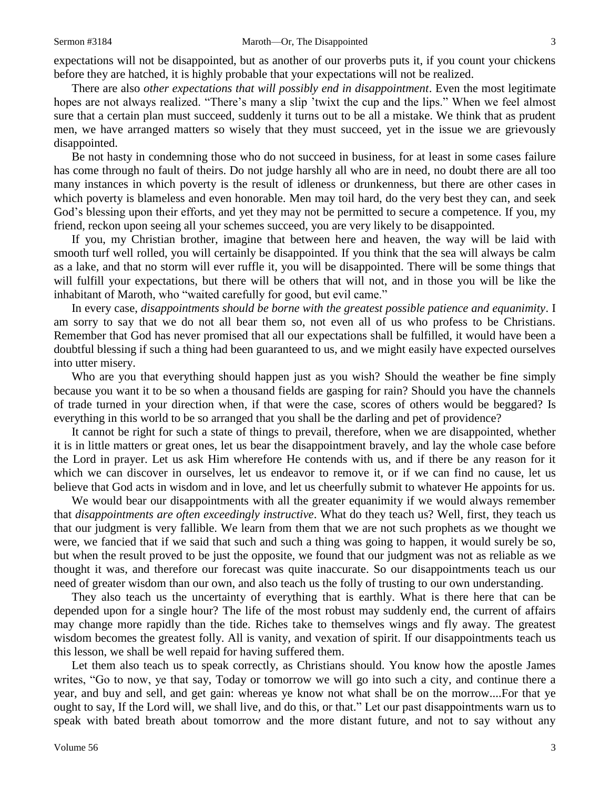expectations will not be disappointed, but as another of our proverbs puts it, if you count your chickens before they are hatched, it is highly probable that your expectations will not be realized.

There are also *other expectations that will possibly end in disappointment*. Even the most legitimate hopes are not always realized. "There's many a slip 'twixt the cup and the lips." When we feel almost sure that a certain plan must succeed, suddenly it turns out to be all a mistake. We think that as prudent men, we have arranged matters so wisely that they must succeed, yet in the issue we are grievously disappointed.

Be not hasty in condemning those who do not succeed in business, for at least in some cases failure has come through no fault of theirs. Do not judge harshly all who are in need, no doubt there are all too many instances in which poverty is the result of idleness or drunkenness, but there are other cases in which poverty is blameless and even honorable. Men may toil hard, do the very best they can, and seek God's blessing upon their efforts, and yet they may not be permitted to secure a competence. If you, my friend, reckon upon seeing all your schemes succeed, you are very likely to be disappointed.

If you, my Christian brother, imagine that between here and heaven, the way will be laid with smooth turf well rolled, you will certainly be disappointed. If you think that the sea will always be calm as a lake, and that no storm will ever ruffle it, you will be disappointed. There will be some things that will fulfill your expectations, but there will be others that will not, and in those you will be like the inhabitant of Maroth, who "waited carefully for good, but evil came."

In every case, *disappointments should be borne with the greatest possible patience and equanimity*. I am sorry to say that we do not all bear them so, not even all of us who profess to be Christians. Remember that God has never promised that all our expectations shall be fulfilled, it would have been a doubtful blessing if such a thing had been guaranteed to us, and we might easily have expected ourselves into utter misery.

Who are you that everything should happen just as you wish? Should the weather be fine simply because you want it to be so when a thousand fields are gasping for rain? Should you have the channels of trade turned in your direction when, if that were the case, scores of others would be beggared? Is everything in this world to be so arranged that you shall be the darling and pet of providence?

It cannot be right for such a state of things to prevail, therefore, when we are disappointed, whether it is in little matters or great ones, let us bear the disappointment bravely, and lay the whole case before the Lord in prayer. Let us ask Him wherefore He contends with us, and if there be any reason for it which we can discover in ourselves, let us endeavor to remove it, or if we can find no cause, let us believe that God acts in wisdom and in love, and let us cheerfully submit to whatever He appoints for us.

We would bear our disappointments with all the greater equanimity if we would always remember that *disappointments are often exceedingly instructive*. What do they teach us? Well, first, they teach us that our judgment is very fallible. We learn from them that we are not such prophets as we thought we were, we fancied that if we said that such and such a thing was going to happen, it would surely be so, but when the result proved to be just the opposite, we found that our judgment was not as reliable as we thought it was, and therefore our forecast was quite inaccurate. So our disappointments teach us our need of greater wisdom than our own, and also teach us the folly of trusting to our own understanding.

They also teach us the uncertainty of everything that is earthly. What is there here that can be depended upon for a single hour? The life of the most robust may suddenly end, the current of affairs may change more rapidly than the tide. Riches take to themselves wings and fly away. The greatest wisdom becomes the greatest folly. All is vanity, and vexation of spirit. If our disappointments teach us this lesson, we shall be well repaid for having suffered them.

Let them also teach us to speak correctly, as Christians should. You know how the apostle James writes, "Go to now, ye that say, Today or tomorrow we will go into such a city, and continue there a year, and buy and sell, and get gain: whereas ye know not what shall be on the morrow....For that ye ought to say, If the Lord will, we shall live, and do this, or that." Let our past disappointments warn us to speak with bated breath about tomorrow and the more distant future, and not to say without any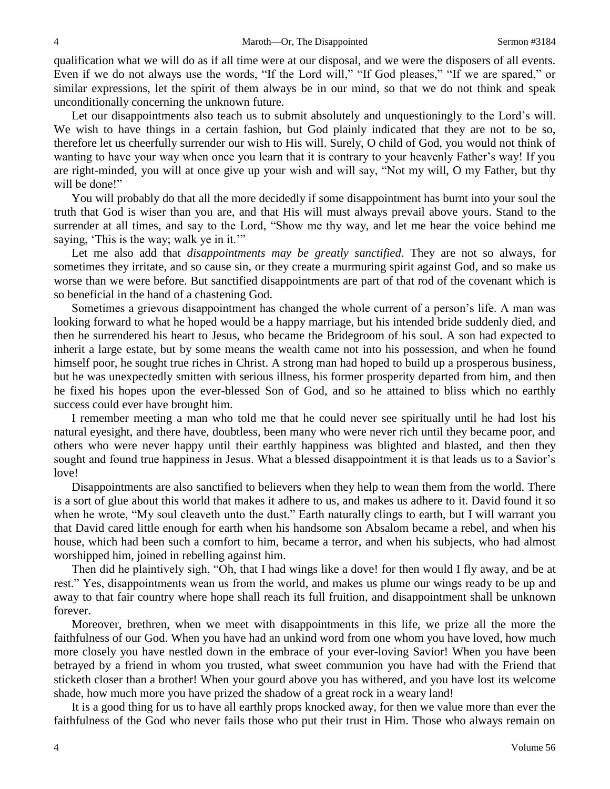qualification what we will do as if all time were at our disposal, and we were the disposers of all events. Even if we do not always use the words, "If the Lord will," "If God pleases," "If we are spared," or similar expressions, let the spirit of them always be in our mind, so that we do not think and speak unconditionally concerning the unknown future.

Let our disappointments also teach us to submit absolutely and unquestioningly to the Lord's will. We wish to have things in a certain fashion, but God plainly indicated that they are not to be so, therefore let us cheerfully surrender our wish to His will. Surely, O child of God, you would not think of wanting to have your way when once you learn that it is contrary to your heavenly Father's way! If you are right-minded, you will at once give up your wish and will say, "Not my will, O my Father, but thy will be done!"

You will probably do that all the more decidedly if some disappointment has burnt into your soul the truth that God is wiser than you are, and that His will must always prevail above yours. Stand to the surrender at all times, and say to the Lord, "Show me thy way, and let me hear the voice behind me saying, 'This is the way; walk ye in it.'"

Let me also add that *disappointments may be greatly sanctified*. They are not so always, for sometimes they irritate, and so cause sin, or they create a murmuring spirit against God, and so make us worse than we were before. But sanctified disappointments are part of that rod of the covenant which is so beneficial in the hand of a chastening God.

Sometimes a grievous disappointment has changed the whole current of a person's life. A man was looking forward to what he hoped would be a happy marriage, but his intended bride suddenly died, and then he surrendered his heart to Jesus, who became the Bridegroom of his soul. A son had expected to inherit a large estate, but by some means the wealth came not into his possession, and when he found himself poor, he sought true riches in Christ. A strong man had hoped to build up a prosperous business, but he was unexpectedly smitten with serious illness, his former prosperity departed from him, and then he fixed his hopes upon the ever-blessed Son of God, and so he attained to bliss which no earthly success could ever have brought him.

I remember meeting a man who told me that he could never see spiritually until he had lost his natural eyesight, and there have, doubtless, been many who were never rich until they became poor, and others who were never happy until their earthly happiness was blighted and blasted, and then they sought and found true happiness in Jesus. What a blessed disappointment it is that leads us to a Savior's love!

Disappointments are also sanctified to believers when they help to wean them from the world. There is a sort of glue about this world that makes it adhere to us, and makes us adhere to it. David found it so when he wrote, "My soul cleaveth unto the dust." Earth naturally clings to earth, but I will warrant you that David cared little enough for earth when his handsome son Absalom became a rebel, and when his house, which had been such a comfort to him, became a terror, and when his subjects, who had almost worshipped him, joined in rebelling against him.

Then did he plaintively sigh, "Oh, that I had wings like a dove! for then would I fly away, and be at rest." Yes, disappointments wean us from the world, and makes us plume our wings ready to be up and away to that fair country where hope shall reach its full fruition, and disappointment shall be unknown forever.

Moreover, brethren, when we meet with disappointments in this life, we prize all the more the faithfulness of our God. When you have had an unkind word from one whom you have loved, how much more closely you have nestled down in the embrace of your ever-loving Savior! When you have been betrayed by a friend in whom you trusted, what sweet communion you have had with the Friend that sticketh closer than a brother! When your gourd above you has withered, and you have lost its welcome shade, how much more you have prized the shadow of a great rock in a weary land!

It is a good thing for us to have all earthly props knocked away, for then we value more than ever the faithfulness of the God who never fails those who put their trust in Him. Those who always remain on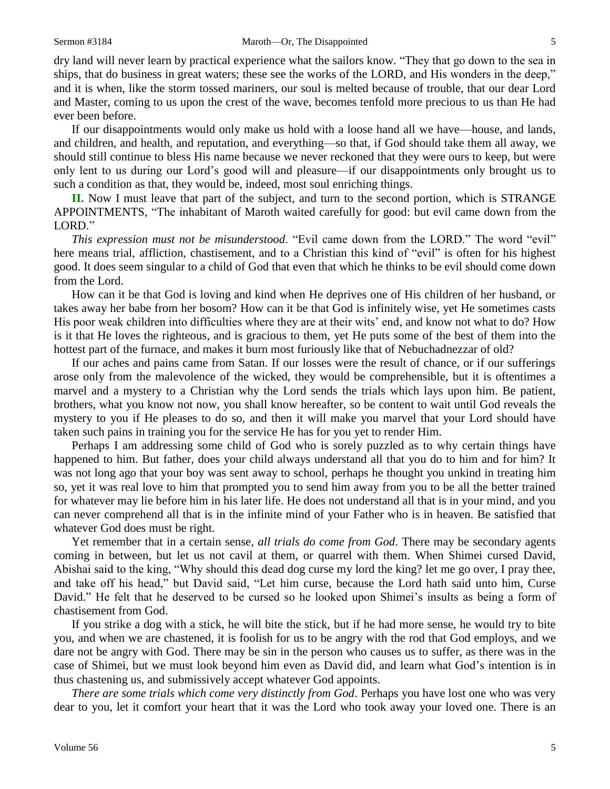dry land will never learn by practical experience what the sailors know. "They that go down to the sea in ships, that do business in great waters; these see the works of the LORD, and His wonders in the deep," and it is when, like the storm tossed mariners, our soul is melted because of trouble, that our dear Lord and Master, coming to us upon the crest of the wave, becomes tenfold more precious to us than He had ever been before.

If our disappointments would only make us hold with a loose hand all we have—house, and lands, and children, and health, and reputation, and everything—so that, if God should take them all away, we should still continue to bless His name because we never reckoned that they were ours to keep, but were only lent to us during our Lord's good will and pleasure—if our disappointments only brought us to such a condition as that, they would be, indeed, most soul enriching things.

**II.** Now I must leave that part of the subject, and turn to the second portion, which is STRANGE APPOINTMENTS, "The inhabitant of Maroth waited carefully for good: but evil came down from the LORD."

*This expression must not be misunderstood*. "Evil came down from the LORD." The word "evil" here means trial, affliction, chastisement, and to a Christian this kind of "evil" is often for his highest good. It does seem singular to a child of God that even that which he thinks to be evil should come down from the Lord.

How can it be that God is loving and kind when He deprives one of His children of her husband, or takes away her babe from her bosom? How can it be that God is infinitely wise, yet He sometimes casts His poor weak children into difficulties where they are at their wits' end, and know not what to do? How is it that He loves the righteous, and is gracious to them, yet He puts some of the best of them into the hottest part of the furnace, and makes it burn most furiously like that of Nebuchadnezzar of old?

If our aches and pains came from Satan. If our losses were the result of chance, or if our sufferings arose only from the malevolence of the wicked, they would be comprehensible, but it is oftentimes a marvel and a mystery to a Christian why the Lord sends the trials which lays upon him. Be patient, brothers, what you know not now, you shall know hereafter, so be content to wait until God reveals the mystery to you if He pleases to do so, and then it will make you marvel that your Lord should have taken such pains in training you for the service He has for you yet to render Him.

Perhaps I am addressing some child of God who is sorely puzzled as to why certain things have happened to him. But father, does your child always understand all that you do to him and for him? It was not long ago that your boy was sent away to school, perhaps he thought you unkind in treating him so, yet it was real love to him that prompted you to send him away from you to be all the better trained for whatever may lie before him in his later life. He does not understand all that is in your mind, and you can never comprehend all that is in the infinite mind of your Father who is in heaven. Be satisfied that whatever God does must be right.

Yet remember that in a certain sense, *all trials do come from God*. There may be secondary agents coming in between, but let us not cavil at them, or quarrel with them. When Shimei cursed David, Abishai said to the king, "Why should this dead dog curse my lord the king? let me go over, I pray thee, and take off his head," but David said, "Let him curse, because the Lord hath said unto him, Curse David." He felt that he deserved to be cursed so he looked upon Shimei's insults as being a form of chastisement from God.

If you strike a dog with a stick, he will bite the stick, but if he had more sense, he would try to bite you, and when we are chastened, it is foolish for us to be angry with the rod that God employs, and we dare not be angry with God. There may be sin in the person who causes us to suffer, as there was in the case of Shimei, but we must look beyond him even as David did, and learn what God's intention is in thus chastening us, and submissively accept whatever God appoints.

*There are some trials which come very distinctly from God*. Perhaps you have lost one who was very dear to you, let it comfort your heart that it was the Lord who took away your loved one. There is an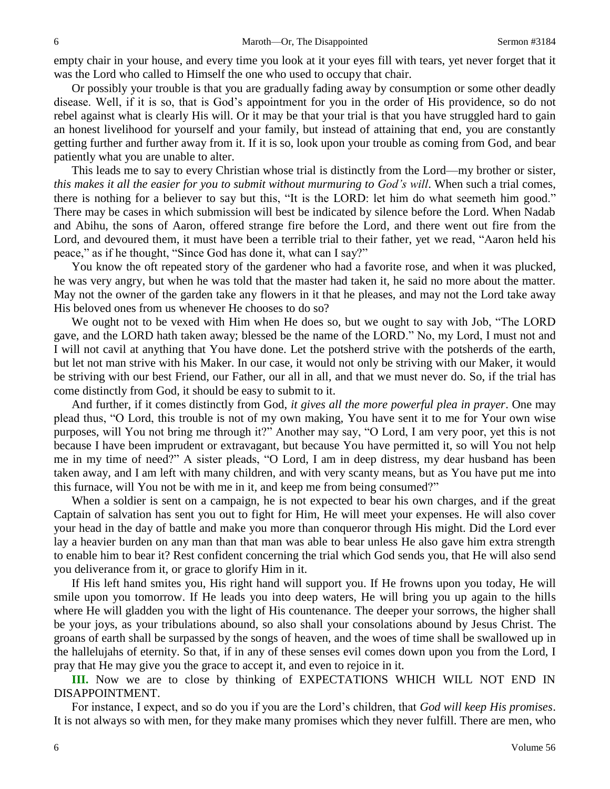empty chair in your house, and every time you look at it your eyes fill with tears, yet never forget that it was the Lord who called to Himself the one who used to occupy that chair.

Or possibly your trouble is that you are gradually fading away by consumption or some other deadly disease. Well, if it is so, that is God's appointment for you in the order of His providence, so do not rebel against what is clearly His will. Or it may be that your trial is that you have struggled hard to gain an honest livelihood for yourself and your family, but instead of attaining that end, you are constantly getting further and further away from it. If it is so, look upon your trouble as coming from God, and bear patiently what you are unable to alter.

This leads me to say to every Christian whose trial is distinctly from the Lord—my brother or sister, *this makes it all the easier for you to submit without murmuring to God's will*. When such a trial comes, there is nothing for a believer to say but this, "It is the LORD: let him do what seemeth him good." There may be cases in which submission will best be indicated by silence before the Lord. When Nadab and Abihu, the sons of Aaron, offered strange fire before the Lord, and there went out fire from the Lord, and devoured them, it must have been a terrible trial to their father, yet we read, "Aaron held his peace," as if he thought, "Since God has done it, what can I say?"

You know the oft repeated story of the gardener who had a favorite rose, and when it was plucked, he was very angry, but when he was told that the master had taken it, he said no more about the matter. May not the owner of the garden take any flowers in it that he pleases, and may not the Lord take away His beloved ones from us whenever He chooses to do so?

We ought not to be vexed with Him when He does so, but we ought to say with Job, "The LORD gave, and the LORD hath taken away; blessed be the name of the LORD." No, my Lord, I must not and I will not cavil at anything that You have done. Let the potsherd strive with the potsherds of the earth, but let not man strive with his Maker. In our case, it would not only be striving with our Maker, it would be striving with our best Friend, our Father, our all in all, and that we must never do. So, if the trial has come distinctly from God, it should be easy to submit to it.

And further, if it comes distinctly from God, *it gives all the more powerful plea in prayer*. One may plead thus, "O Lord, this trouble is not of my own making, You have sent it to me for Your own wise purposes, will You not bring me through it?" Another may say, "O Lord, I am very poor, yet this is not because I have been imprudent or extravagant, but because You have permitted it, so will You not help me in my time of need?" A sister pleads, "O Lord, I am in deep distress, my dear husband has been taken away, and I am left with many children, and with very scanty means, but as You have put me into this furnace, will You not be with me in it, and keep me from being consumed?"

When a soldier is sent on a campaign, he is not expected to bear his own charges, and if the great Captain of salvation has sent you out to fight for Him, He will meet your expenses. He will also cover your head in the day of battle and make you more than conqueror through His might. Did the Lord ever lay a heavier burden on any man than that man was able to bear unless He also gave him extra strength to enable him to bear it? Rest confident concerning the trial which God sends you, that He will also send you deliverance from it, or grace to glorify Him in it.

If His left hand smites you, His right hand will support you. If He frowns upon you today, He will smile upon you tomorrow. If He leads you into deep waters, He will bring you up again to the hills where He will gladden you with the light of His countenance. The deeper your sorrows, the higher shall be your joys, as your tribulations abound, so also shall your consolations abound by Jesus Christ. The groans of earth shall be surpassed by the songs of heaven, and the woes of time shall be swallowed up in the hallelujahs of eternity. So that, if in any of these senses evil comes down upon you from the Lord, I pray that He may give you the grace to accept it, and even to rejoice in it.

**III.** Now we are to close by thinking of EXPECTATIONS WHICH WILL NOT END IN DISAPPOINTMENT.

For instance, I expect, and so do you if you are the Lord's children, that *God will keep His promises*. It is not always so with men, for they make many promises which they never fulfill. There are men, who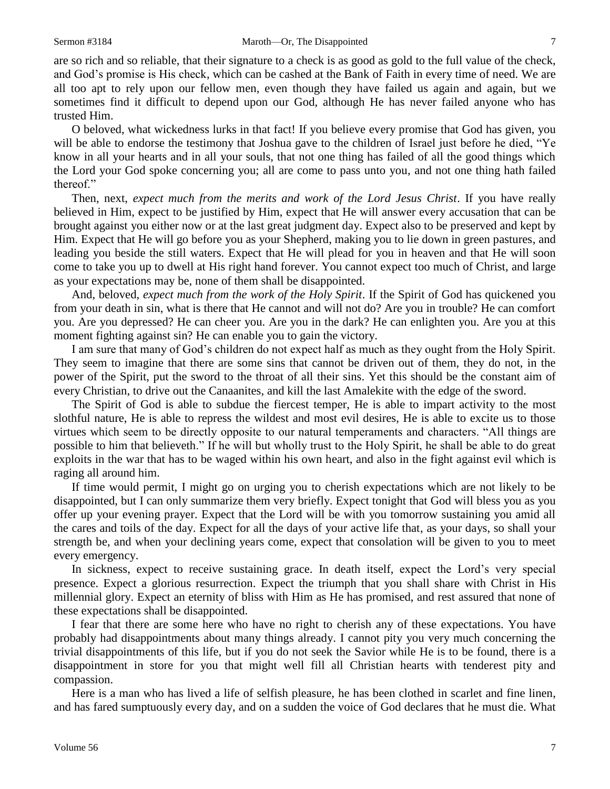are so rich and so reliable, that their signature to a check is as good as gold to the full value of the check, and God's promise is His check, which can be cashed at the Bank of Faith in every time of need. We are all too apt to rely upon our fellow men, even though they have failed us again and again, but we sometimes find it difficult to depend upon our God, although He has never failed anyone who has trusted Him.

O beloved, what wickedness lurks in that fact! If you believe every promise that God has given, you will be able to endorse the testimony that Joshua gave to the children of Israel just before he died, "Ye know in all your hearts and in all your souls, that not one thing has failed of all the good things which the Lord your God spoke concerning you; all are come to pass unto you, and not one thing hath failed thereof."

Then, next, *expect much from the merits and work of the Lord Jesus Christ*. If you have really believed in Him, expect to be justified by Him, expect that He will answer every accusation that can be brought against you either now or at the last great judgment day. Expect also to be preserved and kept by Him. Expect that He will go before you as your Shepherd, making you to lie down in green pastures, and leading you beside the still waters. Expect that He will plead for you in heaven and that He will soon come to take you up to dwell at His right hand forever. You cannot expect too much of Christ, and large as your expectations may be, none of them shall be disappointed.

And, beloved, *expect much from the work of the Holy Spirit*. If the Spirit of God has quickened you from your death in sin, what is there that He cannot and will not do? Are you in trouble? He can comfort you. Are you depressed? He can cheer you. Are you in the dark? He can enlighten you. Are you at this moment fighting against sin? He can enable you to gain the victory.

I am sure that many of God's children do not expect half as much as they ought from the Holy Spirit. They seem to imagine that there are some sins that cannot be driven out of them, they do not, in the power of the Spirit, put the sword to the throat of all their sins. Yet this should be the constant aim of every Christian, to drive out the Canaanites, and kill the last Amalekite with the edge of the sword.

The Spirit of God is able to subdue the fiercest temper, He is able to impart activity to the most slothful nature, He is able to repress the wildest and most evil desires, He is able to excite us to those virtues which seem to be directly opposite to our natural temperaments and characters. "All things are possible to him that believeth." If he will but wholly trust to the Holy Spirit, he shall be able to do great exploits in the war that has to be waged within his own heart, and also in the fight against evil which is raging all around him.

If time would permit, I might go on urging you to cherish expectations which are not likely to be disappointed, but I can only summarize them very briefly. Expect tonight that God will bless you as you offer up your evening prayer. Expect that the Lord will be with you tomorrow sustaining you amid all the cares and toils of the day. Expect for all the days of your active life that, as your days, so shall your strength be, and when your declining years come, expect that consolation will be given to you to meet every emergency.

In sickness, expect to receive sustaining grace. In death itself, expect the Lord's very special presence. Expect a glorious resurrection. Expect the triumph that you shall share with Christ in His millennial glory. Expect an eternity of bliss with Him as He has promised, and rest assured that none of these expectations shall be disappointed.

I fear that there are some here who have no right to cherish any of these expectations. You have probably had disappointments about many things already. I cannot pity you very much concerning the trivial disappointments of this life, but if you do not seek the Savior while He is to be found, there is a disappointment in store for you that might well fill all Christian hearts with tenderest pity and compassion.

Here is a man who has lived a life of selfish pleasure, he has been clothed in scarlet and fine linen, and has fared sumptuously every day, and on a sudden the voice of God declares that he must die. What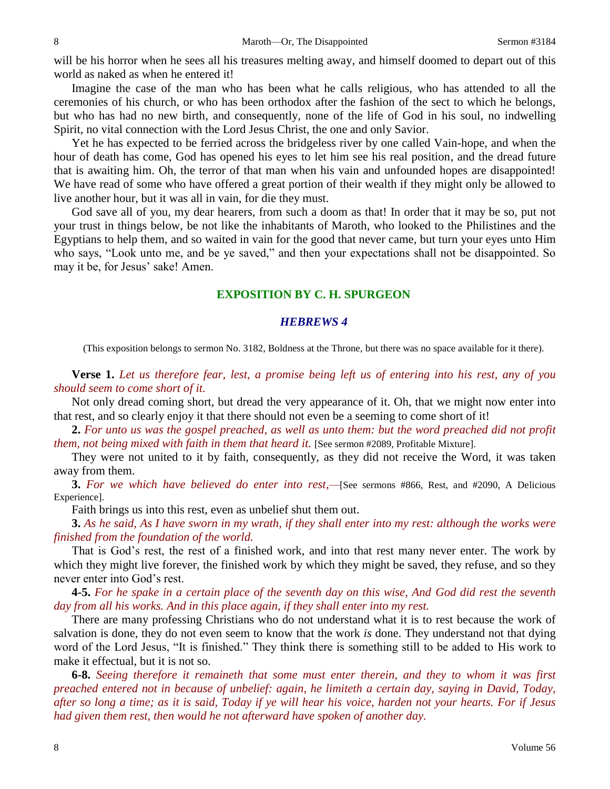will be his horror when he sees all his treasures melting away, and himself doomed to depart out of this world as naked as when he entered it!

Imagine the case of the man who has been what he calls religious, who has attended to all the ceremonies of his church, or who has been orthodox after the fashion of the sect to which he belongs, but who has had no new birth, and consequently, none of the life of God in his soul, no indwelling Spirit, no vital connection with the Lord Jesus Christ, the one and only Savior.

Yet he has expected to be ferried across the bridgeless river by one called Vain-hope, and when the hour of death has come, God has opened his eyes to let him see his real position, and the dread future that is awaiting him. Oh, the terror of that man when his vain and unfounded hopes are disappointed! We have read of some who have offered a great portion of their wealth if they might only be allowed to live another hour, but it was all in vain, for die they must.

God save all of you, my dear hearers, from such a doom as that! In order that it may be so, put not your trust in things below, be not like the inhabitants of Maroth, who looked to the Philistines and the Egyptians to help them, and so waited in vain for the good that never came, but turn your eyes unto Him who says, "Look unto me, and be ye saved," and then your expectations shall not be disappointed. So may it be, for Jesus' sake! Amen.

## **EXPOSITION BY C. H. SPURGEON**

### *HEBREWS 4*

(This exposition belongs to sermon No. 3182, Boldness at the Throne, but there was no space available for it there).

**Verse 1.** *Let us therefore fear, lest, a promise being left us of entering into his rest, any of you should seem to come short of it.*

Not only dread coming short, but dread the very appearance of it. Oh, that we might now enter into that rest, and so clearly enjoy it that there should not even be a seeming to come short of it!

**2.** *For unto us was the gospel preached, as well as unto them: but the word preached did not profit them, not being mixed with faith in them that heard it.* [See sermon #2089, Profitable Mixture].

They were not united to it by faith, consequently, as they did not receive the Word, it was taken away from them.

**3.** *For we which have believed do enter into rest,—*[See sermons #866, Rest, and #2090, A Delicious Experience].

Faith brings us into this rest, even as unbelief shut them out.

**3.** *As he said, As I have sworn in my wrath, if they shall enter into my rest: although the works were finished from the foundation of the world.*

That is God's rest, the rest of a finished work, and into that rest many never enter. The work by which they might live forever, the finished work by which they might be saved, they refuse, and so they never enter into God's rest.

**4-5.** *For he spake in a certain place of the seventh day on this wise, And God did rest the seventh day from all his works. And in this place again, if they shall enter into my rest.*

There are many professing Christians who do not understand what it is to rest because the work of salvation is done, they do not even seem to know that the work *is* done. They understand not that dying word of the Lord Jesus, "It is finished." They think there is something still to be added to His work to make it effectual, but it is not so.

**6-8.** *Seeing therefore it remaineth that some must enter therein, and they to whom it was first preached entered not in because of unbelief: again, he limiteth a certain day, saying in David, Today, after so long a time; as it is said, Today if ye will hear his voice, harden not your hearts. For if Jesus had given them rest, then would he not afterward have spoken of another day.*